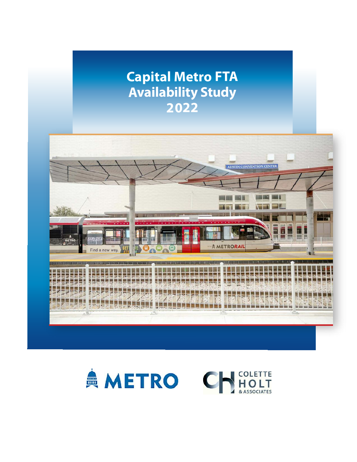# **Capital Metro FTA Availability Study 2022**



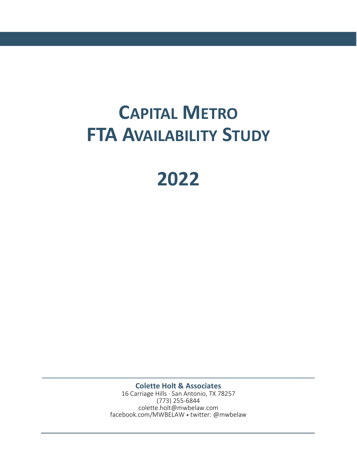# **CAPITAL METRO FTA AVAILABILITY STUDY**

# **2022**

**Colette Holt & Associates** 16 Carriage Hills · San Antonio, TX 78257 (773) 255-6844 colette.holt@mwbelaw.com facebook.com/MWBELAW . twitter: @mwbelaw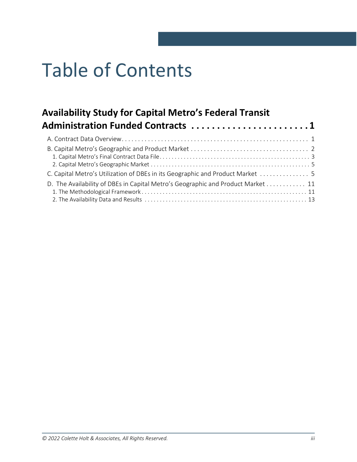# Table of Contents

# **Availability Study for Capital Metro's Federal Transit [Administration Funded Contracts . . . . . . . . . . . . . . . . . . . . . . .](#page-6-0) 1** [A. Contract Data Overview. . . . . . . . . . . . . . . . . . . . . . . . . . . . . . . . . . . . . . . . . . . . . . . . . . . . . . . . . 1](#page-6-1)

| . I WANDI IN MARKA MARKA MARKA NA KUWA MATA WA TANA MATA WA MATA WA MATA WA MATA WA MATA WA MATA WA MATA WA MA |
|----------------------------------------------------------------------------------------------------------------|
|                                                                                                                |
|                                                                                                                |
|                                                                                                                |
| C. Capital Metro's Utilization of DBEs in its Geographic and Product Market  5                                 |
| D. The Availability of DBEs in Capital Metro's Geographic and Product Market 11                                |
|                                                                                                                |
|                                                                                                                |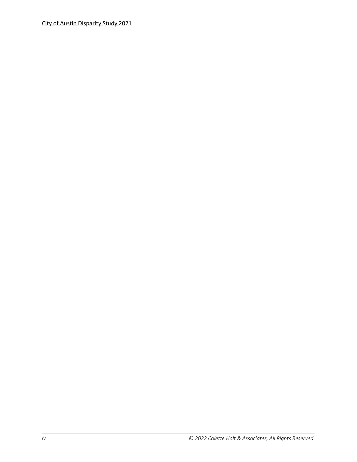City of Austin Disparity Study 2021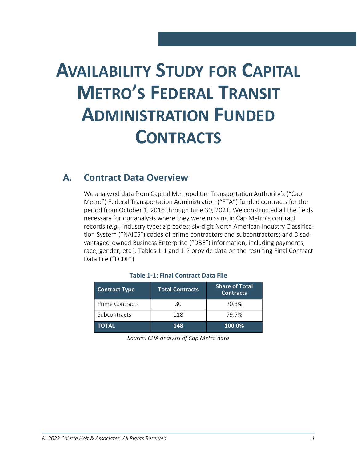# <span id="page-6-0"></span>**AVAILABILITY STUDY FOR CAPITAL METRO'S FEDERAL TRANSIT ADMINISTRATION FUNDED CONTRACTS**

## <span id="page-6-1"></span>**A. Contract Data Overview**

We analyzed data from Capital Metropolitan Transportation Authority's ("Cap Metro") Federal Transportation Administration ("FTA") funded contracts for the period from October 1, 2016 through June 30, 2021. We constructed all the fields necessary for our analysis where they were missing in Cap Metro's contract records (*e.g.*, industry type; zip codes; six-digit North American Industry Classification System ("NAICS") codes of prime contractors and subcontractors; and Disadvantaged-owned Business Enterprise ("DBE") information, including payments, race, gender; etc.). Tables 1-1 and 1-2 provide data on the resulting Final Contract Data File ("FCDF").

| <b>Contract Type</b> | <b>Total Contracts</b> | <b>Share of Total</b><br><b>Contracts</b> |
|----------------------|------------------------|-------------------------------------------|
| Prime Contracts      | 30                     | 20.3%                                     |
| Subcontracts         | 118                    | 79.7%                                     |
| TOTAL                | 148                    | 100.0%                                    |

#### **Table 1-1: Final Contract Data File**

*Source: CHA analysis of Cap Metro data*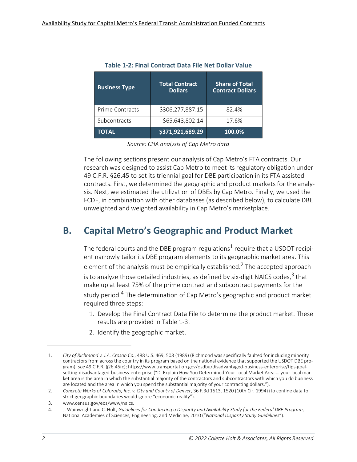| <b>Business Type</b> | <b>Total Contract</b><br><b>Dollars</b> | <b>Share of Total</b><br><b>Contract Dollars</b> |  |  |
|----------------------|-----------------------------------------|--------------------------------------------------|--|--|
| Prime Contracts      | \$306,277,887.15                        | 82.4%                                            |  |  |
| Subcontracts         | \$65,643,802.14                         | 17.6%                                            |  |  |
| <b>TOTAL</b>         | 5371,921,689.29                         | 100.0%                                           |  |  |

|  |  | <b>Table 1-2: Final Contract Data File Net Dollar Value</b> |  |  |  |
|--|--|-------------------------------------------------------------|--|--|--|
|--|--|-------------------------------------------------------------|--|--|--|

*Source: CHA analysis of Cap Metro data*

The following sections present our analysis of Cap Metro's FTA contracts. Our research was designed to assist Cap Metro to meet its regulatory obligation under 49 C.F.R. §26.45 to set its triennial goal for DBE participation in its FTA assisted contracts. First, we determined the geographic and product markets for the analysis. Next, we estimated the utilization of DBEs by Cap Metro. Finally, we used the FCDF, in combination with other databases (as described below), to calculate DBE unweighted and weighted availability in Cap Metro's marketplace.

## <span id="page-7-0"></span>**B. Capital Metro's Geographic and Product Market**

The federal courts and the DBE program regulations<sup>1</sup> require that a USDOT recipient narrowly tailor its DBE program elements to its geographic market area. This element of the analysis must be empirically established.<sup>2</sup> The accepted approach is to analyze those detailed industries, as defined by six-digit NAICS codes.<sup>3</sup> that make up at least 75% of the prime contract and subcontract payments for the study period.4 The determination of Cap Metro's geographic and product market required three steps:

- 1. Develop the Final Contract Data File to determine the product market. These results are provided in Table 1-3.
- 2. Identify the geographic market.

3. www.census.gov/eos/www/naics.

<sup>1.</sup> *City of Richmond v. J.A. Croson Co.*, 488 U.S. 469, 508 (1989) (Richmond was specifically faulted for including minority contractors from across the country in its program based on the national evidence that supported the USDOT DBE program); *see* 49 C.F.R. §26.45(c); https://www.transportation.gov/osdbu/disadvantaged-business-enterprise/tips-goalsetting-disadvantaged-business-enterprise ("D. Explain How You Determined Your Local Market Area.… your local market area is the area in which the substantial majority of the contractors and subcontractors with which you do business are located and the area in which you spend the substantial majority of your contracting dollars.").

<sup>2.</sup> *Concrete Works of Colorado, Inc. v. City and County of Denver*, 36 F.3d 1513, 1520 (10th Cir. 1994) (to confine data to strict geographic boundaries would ignore "economic reality").

<sup>4.</sup> J. Wainwright and C. Holt, *Guidelines for Conducting a Disparity and Availability Study for the Federal DBE Program*, National Academies of Sciences, Engineering, and Medicine, 2010 ("*National Disparity Study Guidelines*").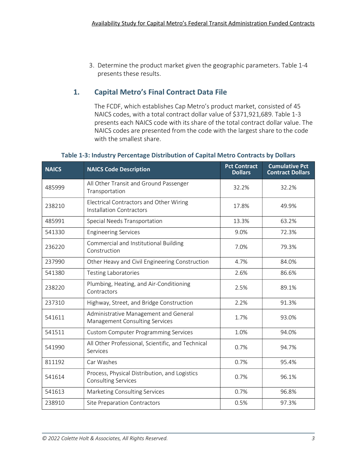3. Determine the product market given the geographic parameters. Table 1-4 presents these results.

### <span id="page-8-0"></span>**1. Capital Metro's Final Contract Data File**

The FCDF, which establishes Cap Metro's product market, consisted of 45 NAICS codes, with a total contract dollar value of \$371,921,689. Table 1-3 presents each NAICS code with its share of the total contract dollar value. The NAICS codes are presented from the code with the largest share to the code with the smallest share.

| <b>NAICS</b> | <b>NAICS Code Description</b>                                               | <b>Pct Contract</b><br><b>Dollars</b> | <b>Cumulative Pct</b><br><b>Contract Dollars</b> |
|--------------|-----------------------------------------------------------------------------|---------------------------------------|--------------------------------------------------|
| 485999       | All Other Transit and Ground Passenger<br>Transportation                    | 32.2%                                 | 32.2%                                            |
| 238210       | Electrical Contractors and Other Wiring<br><b>Installation Contractors</b>  | 17.8%                                 | 49.9%                                            |
| 485991       | Special Needs Transportation                                                | 13.3%                                 | 63.2%                                            |
| 541330       | <b>Engineering Services</b>                                                 | 9.0%                                  | 72.3%                                            |
| 236220       | Commercial and Institutional Building<br>Construction                       | 7.0%                                  | 79.3%                                            |
| 237990       | Other Heavy and Civil Engineering Construction                              | 4.7%                                  | 84.0%                                            |
| 541380       | <b>Testing Laboratories</b>                                                 | 2.6%                                  | 86.6%                                            |
| 238220       | Plumbing, Heating, and Air-Conditioning<br>Contractors                      | 2.5%                                  | 89.1%                                            |
| 237310       | Highway, Street, and Bridge Construction                                    | 2.2%                                  | 91.3%                                            |
| 541611       | Administrative Management and General<br>Management Consulting Services     | 1.7%                                  | 93.0%                                            |
| 541511       | <b>Custom Computer Programming Services</b>                                 | 1.0%                                  | 94.0%                                            |
| 541990       | All Other Professional, Scientific, and Technical<br>Services               | 0.7%                                  | 94.7%                                            |
| 811192       | Car Washes                                                                  | 0.7%                                  | 95.4%                                            |
| 541614       | Process, Physical Distribution, and Logistics<br><b>Consulting Services</b> | 0.7%                                  | 96.1%                                            |
| 541613       | Marketing Consulting Services                                               | 0.7%                                  | 96.8%                                            |
| 238910       | <b>Site Preparation Contractors</b>                                         | 0.5%                                  | 97.3%                                            |

#### **Table 1-3: Industry Percentage Distribution of Capital Metro Contracts by Dollars**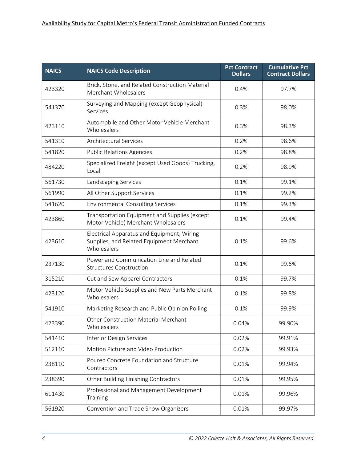| <b>NAICS</b> | <b>NAICS Code Description</b>                                                                         | <b>Pct Contract</b><br><b>Dollars</b> | <b>Cumulative Pct</b><br><b>Contract Dollars</b> |
|--------------|-------------------------------------------------------------------------------------------------------|---------------------------------------|--------------------------------------------------|
| 423320       | Brick, Stone, and Related Construction Material<br>Merchant Wholesalers                               | 0.4%                                  | 97.7%                                            |
| 541370       | Surveying and Mapping (except Geophysical)<br>Services                                                | 0.3%                                  | 98.0%                                            |
| 423110       | Automobile and Other Motor Vehicle Merchant<br>Wholesalers                                            | 0.3%                                  | 98.3%                                            |
| 541310       | Architectural Services                                                                                | 0.2%                                  | 98.6%                                            |
| 541820       | <b>Public Relations Agencies</b>                                                                      | 0.2%                                  | 98.8%                                            |
| 484220       | Specialized Freight (except Used Goods) Trucking,<br>Local                                            | 0.2%                                  | 98.9%                                            |
| 561730       | Landscaping Services                                                                                  | 0.1%                                  | 99.1%                                            |
| 561990       | All Other Support Services                                                                            | 0.1%                                  | 99.2%                                            |
| 541620       | <b>Environmental Consulting Services</b>                                                              | 0.1%                                  | 99.3%                                            |
| 423860       | Transportation Equipment and Supplies (except<br>Motor Vehicle) Merchant Wholesalers                  | 0.1%                                  | 99.4%                                            |
| 423610       | Electrical Apparatus and Equipment, Wiring<br>Supplies, and Related Equipment Merchant<br>Wholesalers | 0.1%                                  | 99.6%                                            |
| 237130       | Power and Communication Line and Related<br><b>Structures Construction</b>                            | 0.1%                                  | 99.6%                                            |
| 315210       | Cut and Sew Apparel Contractors                                                                       | 0.1%                                  | 99.7%                                            |
| 423120       | Motor Vehicle Supplies and New Parts Merchant<br>Wholesalers                                          | 0.1%                                  | 99.8%                                            |
| 541910       | Marketing Research and Public Opinion Polling                                                         | 0.1%                                  | 99.9%                                            |
| 423390       | Other Construction Material Merchant<br>Wholesalers                                                   | 0.04%                                 | 99.90%                                           |
| 541410       | <b>Interior Design Services</b>                                                                       | 0.02%                                 | 99.91%                                           |
| 512110       | Motion Picture and Video Production                                                                   | 0.02%                                 | 99.93%                                           |
| 238110       | Poured Concrete Foundation and Structure<br>Contractors                                               | 0.01%                                 | 99.94%                                           |
| 238390       | Other Building Finishing Contractors                                                                  | 0.01%                                 | 99.95%                                           |
| 611430       | Professional and Management Development<br><b>Training</b>                                            | 0.01%                                 | 99.96%                                           |
| 561920       | Convention and Trade Show Organizers                                                                  | 0.01%                                 | 99.97%                                           |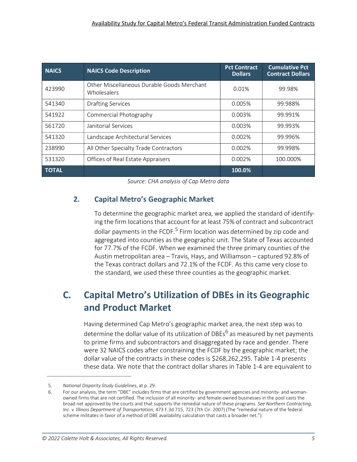| <b>NAICS</b> | <b>NAICS Code Description</b>                             | <b>Pct Contract</b><br><b>Dollars</b> | <b>Cumulative Pct</b><br><b>Contract Dollars</b> |
|--------------|-----------------------------------------------------------|---------------------------------------|--------------------------------------------------|
| 423990       | Other Miscellaneous Durable Goods Merchant<br>Wholesalers | 0.01%                                 | 99.98%                                           |
| 541340       | <b>Drafting Services</b>                                  | 0.005%                                | 99.988%                                          |
| 541922       | Commercial Photography                                    | 0.003%                                | 99.991%                                          |
| 561720       | Janitorial Services                                       | 0.003%                                | 99.993%                                          |
| 541320       | Landscape Architectural Services                          | 0.002%                                | 99.996%                                          |
| 238990       | All Other Specialty Trade Contractors                     | 0.002%                                | 99.998%                                          |
| 531320       | Offices of Real Estate Appraisers                         | 0.002%                                | 100.000%                                         |
| <b>TOTAL</b> |                                                           | 100.0%                                |                                                  |

*Source: CHA analysis of Cap Metro data*

### <span id="page-10-0"></span>**2. Capital Metro's Geographic Market**

To determine the geographic market area, we applied the standard of identifying the firm locations that account for at least 75% of contract and subcontract dollar payments in the FCDF. $5$  Firm location was determined by zip code and aggregated into counties as the geographic unit. The State of Texas accounted for 77.7% of the FCDF. When we examined the three primary counties of the Austin metropolitan area – Travis, Hays, and Williamson – captured 92.8% of the Texas contract dollars and 72.1% of the FCDF. As this came very close to the standard, we used these three counties as the geographic market.

## <span id="page-10-1"></span>**C. Capital Metro's Utilization of DBEs in its Geographic and Product Market**

Having determined Cap Metro's geographic market area, the next step was to determine the dollar value of its utilization of DBEs $^6$  as measured by net payments to prime firms and subcontractors and disaggregated by race and gender. There were 32 NAICS codes after constraining the FCDF by the geographic market; the dollar value of the contracts in these codes is \$268,262,295. Table 1-4 presents these data. We note that the contract dollar shares in Table 1-4 are equivalent to

<sup>5.</sup> *National Disparity Study Guidelines*, at p. 29.

<sup>6.</sup> For our analysis, the term "DBE" includes firms that are certified by government agencies and minority- and womanowned firms that are not certified. The inclusion of all minority- and female-owned businesses in the pool casts the broad net approved by the courts and that supports the remedial nature of these programs. *See Northern Contracting, Inc. v. Illinois Department of Transportation*, 473 F.3d 715, 723 (7th Cir. 2007) (The "remedial nature of the federal scheme militates in favor of a method of DBE availability calculation that casts a broader net.").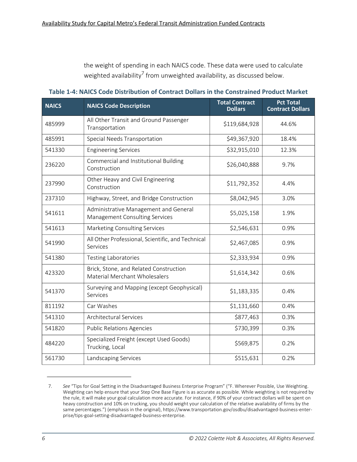the weight of spending in each NAICS code. These data were used to calculate weighted availability<sup>7</sup> from unweighted availability, as discussed below.

| <b>NAICS</b> | <b>NAICS Code Description</b>                                           | <b>Total Contract</b><br><b>Dollars</b> | <b>Pct Total</b><br><b>Contract Dollars</b> |
|--------------|-------------------------------------------------------------------------|-----------------------------------------|---------------------------------------------|
| 485999       | All Other Transit and Ground Passenger<br>Transportation                | \$119,684,928                           | 44.6%                                       |
| 485991       | Special Needs Transportation                                            | \$49,367,920                            | 18.4%                                       |
| 541330       | <b>Engineering Services</b>                                             | \$32,915,010                            | 12.3%                                       |
| 236220       | Commercial and Institutional Building<br>Construction                   | \$26,040,888                            | 9.7%                                        |
| 237990       | Other Heavy and Civil Engineering<br>Construction                       | \$11,792,352                            | 4.4%                                        |
| 237310       | Highway, Street, and Bridge Construction                                | \$8,042,945                             | 3.0%                                        |
| 541611       | Administrative Management and General<br>Management Consulting Services | \$5,025,158                             | 1.9%                                        |
| 541613       | Marketing Consulting Services                                           | \$2,546,631                             | 0.9%                                        |
| 541990       | All Other Professional, Scientific, and Technical<br>Services           | \$2,467,085                             | 0.9%                                        |
| 541380       | <b>Testing Laboratories</b>                                             | \$2,333,934                             | 0.9%                                        |
| 423320       | Brick, Stone, and Related Construction<br>Material Merchant Wholesalers | \$1,614,342                             | 0.6%                                        |
| 541370       | Surveying and Mapping (except Geophysical)<br>Services                  | \$1,183,335                             | 0.4%                                        |
| 811192       | Car Washes                                                              | \$1,131,660                             | 0.4%                                        |
| 541310       | Architectural Services                                                  | \$877,463                               | 0.3%                                        |
| 541820       | <b>Public Relations Agencies</b>                                        | \$730,399                               | 0.3%                                        |
| 484220       | Specialized Freight (except Used Goods)<br>Trucking, Local              | \$569,875                               | 0.2%                                        |
| 561730       | Landscaping Services                                                    | \$515,631                               | 0.2%                                        |

**Table 1-4: NAICS Code Distribution of Contract Dollars in the Constrained Product Market**

<sup>7.</sup> *See* "Tips for Goal Setting in the Disadvantaged Business Enterprise Program" ("F. Wherever Possible, Use Weighting. Weighting can help ensure that your Step One Base Figure is as accurate as possible. While weighting is not required by the rule, it will make your goal calculation more accurate. For instance, if 90% of your contract dollars will be spent on heavy construction and 10% on trucking, you should weight your calculation of the relative availability of firms by the same percentages.") (emphasis in the original), https://www.transportation.gov/osdbu/disadvantaged-business-enterprise/tips-goal-setting-disadvantaged-business-enterprise.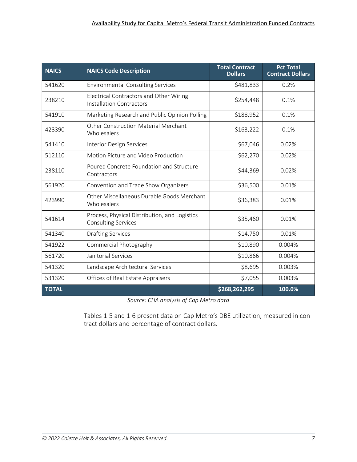| <b>NAICS</b> | <b>NAICS Code Description</b>                                               | <b>Total Contract</b><br><b>Dollars</b> | <b>Pct Total</b><br><b>Contract Dollars</b> |
|--------------|-----------------------------------------------------------------------------|-----------------------------------------|---------------------------------------------|
| 541620       | <b>Environmental Consulting Services</b>                                    | \$481,833                               | 0.2%                                        |
| 238210       | Electrical Contractors and Other Wiring<br><b>Installation Contractors</b>  | \$254,448                               | 0.1%                                        |
| 541910       | Marketing Research and Public Opinion Polling                               | \$188,952                               | 0.1%                                        |
| 423390       | Other Construction Material Merchant<br>Wholesalers                         | \$163,222                               | 0.1%                                        |
| 541410       | Interior Design Services                                                    | \$67,046                                | 0.02%                                       |
| 512110       | Motion Picture and Video Production                                         | \$62,270                                | 0.02%                                       |
| 238110       | Poured Concrete Foundation and Structure<br>Contractors                     | \$44,369                                | 0.02%                                       |
| 561920       | Convention and Trade Show Organizers                                        | \$36,500                                | 0.01%                                       |
| 423990       | Other Miscellaneous Durable Goods Merchant<br>Wholesalers                   | \$36,383                                | 0.01%                                       |
| 541614       | Process, Physical Distribution, and Logistics<br><b>Consulting Services</b> | \$35,460                                | 0.01%                                       |
| 541340       | <b>Drafting Services</b>                                                    | \$14,750                                | 0.01%                                       |
| 541922       | Commercial Photography                                                      | \$10,890                                | 0.004%                                      |
| 561720       | Janitorial Services                                                         | \$10,866                                | 0.004%                                      |
| 541320       | Landscape Architectural Services                                            | \$8,695                                 | 0.003%                                      |
| 531320       | Offices of Real Estate Appraisers                                           | \$7,055                                 | 0.003%                                      |
| <b>TOTAL</b> |                                                                             | \$268,262,295                           | 100.0%                                      |

*Source: CHA analysis of Cap Metro data*

Tables 1-5 and 1-6 present data on Cap Metro's DBE utilization, measured in contract dollars and percentage of contract dollars.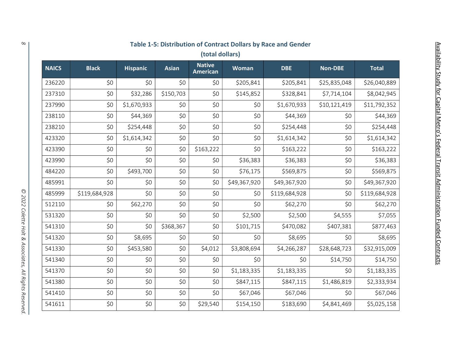| (total dollars) |               |                 |              |                           |              |               |                |               |  |  |
|-----------------|---------------|-----------------|--------------|---------------------------|--------------|---------------|----------------|---------------|--|--|
| <b>NAICS</b>    | <b>Black</b>  | <b>Hispanic</b> | <b>Asian</b> | <b>Native</b><br>American | Woman        | <b>DBE</b>    | <b>Non-DBE</b> | <b>Total</b>  |  |  |
| 236220          | \$0           | \$0             | \$0          | \$0                       | \$205,841    | \$205,841     | \$25,835,048   | \$26,040,889  |  |  |
| 237310          | \$0           | \$32,286        | \$150,703    | \$0                       | \$145,852    | \$328,841     | \$7,714,104    | \$8,042,945   |  |  |
| 237990          | \$0           | \$1,670,933     | \$0          | \$0                       | \$0\$        | \$1,670,933   | \$10,121,419   | \$11,792,352  |  |  |
| 238110          | \$0           | \$44,369        | \$0          | \$0                       | \$0          | \$44,369      | \$0            | \$44,369      |  |  |
| 238210          | \$0           | \$254,448       | \$0          | \$0                       | \$0\$        | \$254,448     | \$0            | \$254,448     |  |  |
| 423320          | \$0           | \$1,614,342     | \$0          | \$0                       | \$0          | \$1,614,342   | \$0            | \$1,614,342   |  |  |
| 423390          | \$0           | \$0             | \$0          | \$163,222                 | \$0          | \$163,222     | \$0            | \$163,222     |  |  |
| 423990          | \$0           | \$0             | \$0          | \$0                       | \$36,383     | \$36,383      | \$0            | \$36,383      |  |  |
| 484220          | \$0           | \$493,700       | \$0          | \$0                       | \$76,175     | \$569,875     | \$0            | \$569,875     |  |  |
| 485991          | \$0           | \$0             | \$0          | \$0                       | \$49,367,920 | \$49,367,920  | \$0            | \$49,367,920  |  |  |
| 485999          | \$119,684,928 | \$0             | \$0          | \$0                       | \$0          | \$119,684,928 | \$0            | \$119,684,928 |  |  |
| 512110          | \$0           | \$62,270        | \$0          | \$0                       | \$0          | \$62,270      | \$0            | \$62,270      |  |  |
| 531320          | \$0           | \$0             | \$0          | \$0                       | \$2,500      | \$2,500       | \$4,555        | \$7,055       |  |  |
| 541310          | \$0           | \$0             | \$368,367    | \$0                       | \$101,715    | \$470,082     | \$407,381      | \$877,463     |  |  |
| 541320          | \$0           | \$8,695         | \$0          | \$0                       | \$0          | \$8,695       | \$0            | \$8,695       |  |  |
| 541330          | \$0           | \$453,580       | \$0          | \$4,012                   | \$3,808,694  | \$4,266,287   | \$28,648,723   | \$32,915,009  |  |  |
| 541340          | \$0           | \$0             | \$0          | \$0                       | \$0          | \$0           | \$14,750       | \$14,750      |  |  |
| 541370          | \$0           | \$0             | \$0          | \$0                       | \$1,183,335  | \$1,183,335   | \$0            | \$1,183,335   |  |  |
| 541380          | \$0           | \$0             | \$0          | \$0                       | \$847,115    | \$847,115     | \$1,486,819    | \$2,333,934   |  |  |
| 541410          | \$0           | \$0             | \$0          | \$0                       | \$67,046     | \$67,046      | \$0            | \$67,046      |  |  |
| 541611          | \$0           | \$0             | \$0          | \$29,540                  | \$154,150    | \$183,690     | \$4,841,469    | \$5,025,158   |  |  |

### **Table 1-5: Distribution of Contract Dollars by Race and Gender**

Availability

Study

for

Capital

Metro's

Federal

Transit

Administration

Funded

Contracts

*©*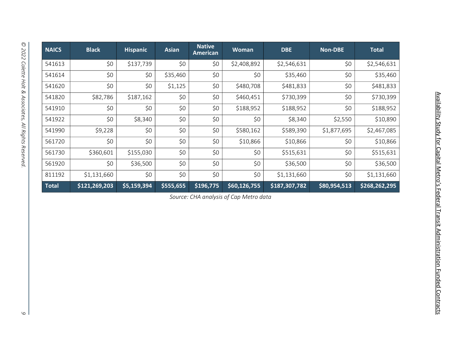| <b>NAICS</b> | <b>Black</b>  | <b>Hispanic</b> | <b>Asian</b> | <b>Native</b><br><b>American</b> | <b>Woman</b> | <b>DBE</b>    | <b>Non-DBE</b> | <b>Total</b>  |
|--------------|---------------|-----------------|--------------|----------------------------------|--------------|---------------|----------------|---------------|
| 541613       | \$0           | \$137,739       | \$0          | \$0                              | \$2,408,892  | \$2,546,631   | \$0            | \$2,546,631   |
| 541614       | \$0           | \$0             | \$35,460     | \$0                              | \$0          | \$35,460      | \$0            | \$35,460      |
| 541620       | \$0           | \$0             | \$1,125      | \$0                              | \$480,708    | \$481,833     | \$0            | \$481,833     |
| 541820       | \$82,786      | \$187,162       | \$0          | \$0                              | \$460,451    | \$730,399     | \$0            | \$730,399     |
| 541910       | \$0           | \$0\$           | \$0          | \$0                              | \$188,952    | \$188,952     | \$0            | \$188,952     |
| 541922       | \$0           | \$8,340         | \$0          | \$0                              | \$0          | \$8,340       | \$2,550        | \$10,890      |
| 541990       | \$9,228       | \$0             | \$0          | \$0                              | \$580,162    | \$589,390     | \$1,877,695    | \$2,467,085   |
| 561720       | \$0           | \$0             | \$0          | \$0                              | \$10,866     | \$10,866      | \$0            | \$10,866      |
| 561730       | \$360,601     | \$155,030       | \$0          | \$0                              | \$0          | \$515,631     | \$0            | \$515,631     |
| 561920       | \$0           | \$36,500        | \$0          | \$0                              | \$0          | \$36,500      | \$0            | \$36,500      |
| 811192       | \$1,131,660   | \$0             | \$0          | \$0                              | \$0          | \$1,131,660   | \$0            | \$1,131,660   |
| <b>Total</b> | \$121,269,203 | \$5,159,394     | \$555,655    | \$196,775                        | \$60,126,755 | \$187,307,782 | \$80,954,513   | \$268,262,295 |

Availability

Study

for

Capital

Metro's

Federal

Transit

Administration

Funded

Contracts

*Source: CHA analysis of Cap Metro data*

*9*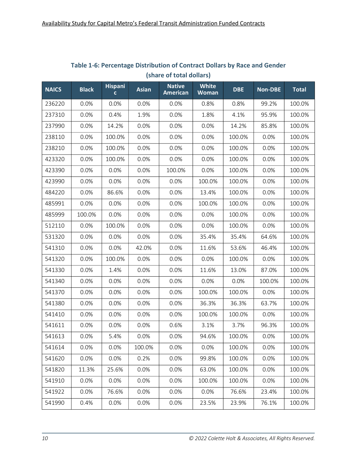| <b>NAICS</b> | <b>Black</b> | <b>Hispani</b><br>c. | <b>Asian</b> | <b>Native</b><br><b>American</b> | <b>White</b><br><b>Woman</b> | <b>DBE</b> | <b>Non-DBE</b> | <b>Total</b> |
|--------------|--------------|----------------------|--------------|----------------------------------|------------------------------|------------|----------------|--------------|
| 236220       | 0.0%         | 0.0%                 | 0.0%         | 0.0%                             | 0.8%                         | 0.8%       | 99.2%          | 100.0%       |
| 237310       | 0.0%         | 0.4%                 | 1.9%         | 0.0%                             | 1.8%                         | 4.1%       | 95.9%          | 100.0%       |
| 237990       | 0.0%         | 14.2%                | 0.0%         | 0.0%                             | 0.0%                         | 14.2%      | 85.8%          | 100.0%       |
| 238110       | 0.0%         | 100.0%               | 0.0%         | 0.0%                             | 0.0%                         | 100.0%     | 0.0%           | 100.0%       |
| 238210       | 0.0%         | 100.0%               | 0.0%         | 0.0%                             | 0.0%                         | 100.0%     | 0.0%           | 100.0%       |
| 423320       | 0.0%         | 100.0%               | 0.0%         | 0.0%                             | 0.0%                         | 100.0%     | 0.0%           | 100.0%       |
| 423390       | 0.0%         | 0.0%                 | 0.0%         | 100.0%                           | 0.0%                         | 100.0%     | 0.0%           | 100.0%       |
| 423990       | 0.0%         | 0.0%                 | 0.0%         | 0.0%                             | 100.0%                       | 100.0%     | 0.0%           | 100.0%       |
| 484220       | 0.0%         | 86.6%                | 0.0%         | 0.0%                             | 13.4%                        | 100.0%     | 0.0%           | 100.0%       |
| 485991       | 0.0%         | 0.0%                 | 0.0%         | 0.0%                             | 100.0%                       | 100.0%     | 0.0%           | 100.0%       |
| 485999       | 100.0%       | 0.0%                 | 0.0%         | 0.0%                             | 0.0%                         | 100.0%     | 0.0%           | 100.0%       |
| 512110       | 0.0%         | 100.0%               | 0.0%         | 0.0%                             | 0.0%                         | 100.0%     | 0.0%           | 100.0%       |
| 531320       | 0.0%         | 0.0%                 | 0.0%         | 0.0%                             | 35.4%                        | 35.4%      | 64.6%          | 100.0%       |
| 541310       | 0.0%         | 0.0%                 | 42.0%        | 0.0%                             | 11.6%                        | 53.6%      | 46.4%          | 100.0%       |
| 541320       | 0.0%         | 100.0%               | 0.0%         | 0.0%                             | 0.0%                         | 100.0%     | 0.0%           | 100.0%       |
| 541330       | 0.0%         | 1.4%                 | 0.0%         | 0.0%                             | 11.6%                        | 13.0%      | 87.0%          | 100.0%       |
| 541340       | 0.0%         | 0.0%                 | 0.0%         | 0.0%                             | 0.0%                         | 0.0%       | 100.0%         | 100.0%       |
| 541370       | 0.0%         | 0.0%                 | 0.0%         | 0.0%                             | 100.0%                       | 100.0%     | 0.0%           | 100.0%       |
| 541380       | 0.0%         | 0.0%                 | 0.0%         | 0.0%                             | 36.3%                        | 36.3%      | 63.7%          | 100.0%       |
| 541410       | 0.0%         | 0.0%                 | 0.0%         | 0.0%                             | 100.0%                       | 100.0%     | 0.0%           | 100.0%       |
| 541611       | 0.0%         | 0.0%                 | 0.0%         | 0.6%                             | 3.1%                         | 3.7%       | 96.3%          | 100.0%       |
| 541613       | 0.0%         | 5.4%                 | 0.0%         | 0.0%                             | 94.6%                        | 100.0%     | 0.0%           | 100.0%       |
| 541614       | 0.0%         | 0.0%                 | 100.0%       | 0.0%                             | 0.0%                         | 100.0%     | 0.0%           | 100.0%       |
| 541620       | 0.0%         | 0.0%                 | 0.2%         | 0.0%                             | 99.8%                        | 100.0%     | 0.0%           | 100.0%       |
| 541820       | 11.3%        | 25.6%                | 0.0%         | 0.0%                             | 63.0%                        | 100.0%     | 0.0%           | 100.0%       |
| 541910       | 0.0%         | 0.0%                 | 0.0%         | 0.0%                             | 100.0%                       | 100.0%     | 0.0%           | 100.0%       |
| 541922       | 0.0%         | 76.6%                | 0.0%         | 0.0%                             | 0.0%                         | 76.6%      | 23.4%          | 100.0%       |
| 541990       | 0.4%         | 0.0%                 | 0.0%         | 0.0%                             | 23.5%                        | 23.9%      | 76.1%          | 100.0%       |

### **Table 1-6: Percentage Distribution of Contract Dollars by Race and Gender (share of total dollars)**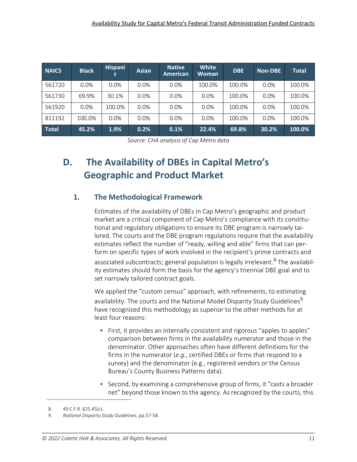| <b>NAICS</b> | <b>Black</b> | <b>Hispani</b><br>c | <b>Asian</b> | <b>Native</b><br><b>American</b> | <b>White</b><br><b>Woman</b> | <b>DBE</b> | <b>Non-DBE</b> | <b>Total</b> |
|--------------|--------------|---------------------|--------------|----------------------------------|------------------------------|------------|----------------|--------------|
| 561720       | $0.0\%$      | $0.0\%$             | $0.0\%$      | $0.0\%$                          | 100.0%                       | 100.0%     | $0.0\%$        | 100.0%       |
| 561730       | 69.9%        | 30.1%               | 0.0%         | $0.0\%$                          | $0.0\%$                      | 100.0%     | 0.0%           | 100.0%       |
| 561920       | 0.0%         | 100.0%              | 0.0%         | $0.0\%$                          | 0.0%                         | 100.0%     | 0.0%           | 100.0%       |
| 811192       | 100.0%       | 0.0%                | 0.0%         | $0.0\%$                          | 0.0%                         | 100.0%     | 0.0%           | 100.0%       |
| <b>Total</b> | 45.2%        | 1.9%                | 0.2%         | 0.1%                             | 22.4%                        | 69.8%      | 30.2%          | 100.0%       |

*Source: CHA analysis of Cap Metro data*

## <span id="page-16-0"></span>**D. The Availability of DBEs in Capital Metro's Geographic and Product Market**

### <span id="page-16-1"></span>**1. The Methodological Framework**

Estimates of the availability of DBEs in Cap Metro's geographic and product market are a critical component of Cap Metro's compliance with its constitutional and regulatory obligations to ensure its DBE program is narrowly tailored. The courts and the DBE program regulations require that the availability estimates reflect the number of "ready, willing and able" firms that can perform on specific types of work involved in the recipient's prime contracts and associated subcontracts; general population is legally irrelevant.<sup>8</sup> The availability estimates should form the basis for the agency's triennial DBE goal and to set narrowly tailored contract goals.

We applied the "custom census" approach, with refinements, to estimating availability. The courts and the National Model Disparity Study Guidelines<sup>9</sup> have recognized this methodology as superior to the other methods for at least four reasons:

- First, it provides an internally consistent and rigorous "apples to apples" comparison between firms in the availability numerator and those in the denominator. Other approaches often have different definitions for the firms in the numerator (*e.g.*, certified DBEs or firms that respond to a survey) and the denominator (e.g., registered vendors or the Census Bureau's County Business Patterns data).
- Second, by examining a comprehensive group of firms, it "casts a broader net" beyond those known to the agency. As recognized by the courts, this

<sup>8.</sup> 49 C.F.R. §25.45(c).

<sup>9.</sup> *National Disparity Study Guidelines*, pp.57-58.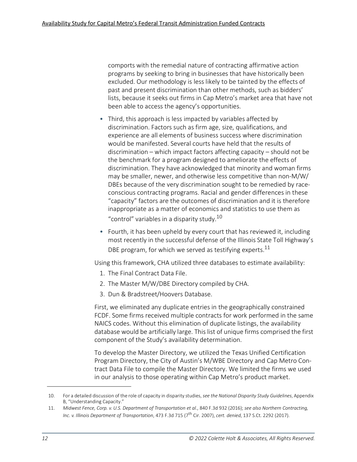comports with the remedial nature of contracting affirmative action programs by seeking to bring in businesses that have historically been excluded. Our methodology is less likely to be tainted by the effects of past and present discrimination than other methods, such as bidders' lists, because it seeks out firms in Cap Metro's market area that have not been able to access the agency's opportunities.

- Third, this approach is less impacted by variables affected by discrimination. Factors such as firm age, size, qualifications, and experience are all elements of business success where discrimination would be manifested. Several courts have held that the results of discrimination – which impact factors affecting capacity – should not be the benchmark for a program designed to ameliorate the effects of discrimination. They have acknowledged that minority and woman firms may be smaller, newer, and otherwise less competitive than non-M/W/ DBEs because of the very discrimination sought to be remedied by raceconscious contracting programs. Racial and gender differences in these "capacity" factors are the outcomes of discrimination and it is therefore inappropriate as a matter of economics and statistics to use them as "control" variables in a disparity study.<sup>10</sup>
- Fourth, it has been upheld by every court that has reviewed it, including most recently in the successful defense of the Illinois State Toll Highway's DBE program, for which we served as testifying experts.<sup>11</sup>

Using this framework, CHA utilized three databases to estimate availability:

- 1. The Final Contract Data File.
- 2. The Master M/W/DBE Directory compiled by CHA.
- 3. Dun & Bradstreet/Hoovers Database.

First, we eliminated any duplicate entries in the geographically constrained FCDF. Some firms received multiple contracts for work performed in the same NAICS codes. Without this elimination of duplicate listings, the availability database would be artificially large. This list of unique firms comprised the first component of the Study's availability determination.

To develop the Master Directory, we utilized the Texas Unified Certification Program Directory, the City of Austin's M/WBE Directory and Cap Metro Contract Data File to compile the Master Directory. We limited the firms we used in our analysis to those operating within Cap Metro's product market.

<sup>10.</sup> For a detailed discussion of the role of capacity in disparity studies, *see the National Disparity Study Guidelines*, Appendix B, "Understanding Capacity."

<sup>11.</sup> *Midwest Fence, Corp. v. U.S. Department of Transportation et al*., 840 F.3d 932 (2016); *see also Northern Contracting, Inc. v. Illinois Department of Transportation*, 473 F.3d 715 (7th Cir. 2007), *cert. denied*, 137 S.Ct. 2292 (2017).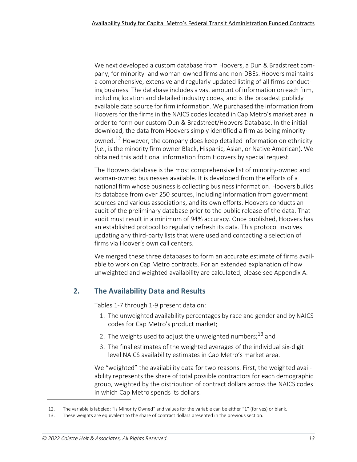We next developed a custom database from Hoovers, a Dun & Bradstreet company, for minority- and woman-owned firms and non-DBEs. Hoovers maintains a comprehensive, extensive and regularly updated listing of all firms conducting business. The database includes a vast amount of information on each firm, including location and detailed industry codes, and is the broadest publicly available data source for firm information. We purchased the information from Hoovers for the firms in the NAICS codes located in Cap Metro's market area in order to form our custom Dun & Bradstreet/Hoovers Database. In the initial download, the data from Hoovers simply identified a firm as being minorityowned.12 However, the company does keep detailed information on ethnicity (*i.e*., is the minority firm owner Black, Hispanic, Asian, or Native American). We obtained this additional information from Hoovers by special request.

The Hoovers database is the most comprehensive list of minority-owned and woman-owned businesses available. It is developed from the efforts of a national firm whose business is collecting business information. Hoovers builds its database from over 250 sources, including information from government sources and various associations, and its own efforts. Hoovers conducts an audit of the preliminary database prior to the public release of the data. That audit must result in a minimum of 94% accuracy. Once published, Hoovers has an established protocol to regularly refresh its data. This protocol involves updating any third-party lists that were used and contacting a selection of firms via Hoover's own call centers.

We merged these three databases to form an accurate estimate of firms available to work on Cap Metro contracts. For an extended explanation of how unweighted and weighted availability are calculated, please see Appendix A.

## <span id="page-18-0"></span>**2. The Availability Data and Results**

Tables 1-7 through 1-9 present data on:

- 1. The unweighted availability percentages by race and gender and by NAICS codes for Cap Metro's product market;
- 2. The weights used to adjust the unweighted numbers;<sup>13</sup> and
- 3. The final estimates of the weighted averages of the individual six-digit level NAICS availability estimates in Cap Metro's market area.

We "weighted" the availability data for two reasons. First, the weighted availability represents the share of total possible contractors for each demographic group, weighted by the distribution of contract dollars across the NAICS codes in which Cap Metro spends its dollars.

<sup>12.</sup> The variable is labeled: "Is Minority Owned" and values for the variable can be either "1" (for yes) or blank.

<sup>13.</sup> These weights are equivalent to the share of contract dollars presented in the previous section.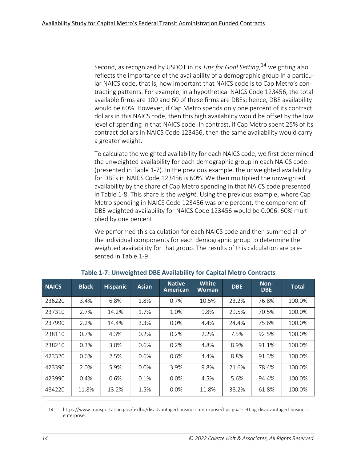Second, as recognized by USDOT in its *Tips for Goal Setting*, 14 weighting also reflects the importance of the availability of a demographic group in a particular NAICS code, that is, how important that NAICS code is to Cap Metro's contracting patterns. For example, in a hypothetical NAICS Code 123456, the total available firms are 100 and 60 of these firms are DBEs; hence, DBE availability would be 60%. However, if Cap Metro spends only one percent of its contract dollars in this NAICS code, then this high availability would be offset by the low level of spending in that NAICS code. In contrast, if Cap Metro spent 25% of its contract dollars in NAICS Code 123456, then the same availability would carry a greater weight.

To calculate the weighted availability for each NAICS code, we first determined the unweighted availability for each demographic group in each NAICS code (presented in Table 1-7). In the previous example, the unweighted availability for DBEs in NAICS Code 123456 is 60%. We then multiplied the unweighted availability by the share of Cap Metro spending in that NAICS code presented in Table 1-8. This share is the *weight*. Using the previous example, where Cap Metro spending in NAICS Code 123456 was one percent, the component of DBE weighted availability for NAICS Code 123456 would be 0.006: 60% multiplied by one percent.

We performed this calculation for each NAICS code and then summed all of the individual components for each demographic group to determine the weighted availability for that group. The results of this calculation are presented in Table 1-9.

| <b>NAICS</b> | <b>Black</b> | <b>Hispanic</b> | <b>Asian</b> | <b>Native</b><br><b>American</b> | <b>White</b><br><b>Woman</b> | <b>DBE</b> | Non-<br><b>DBE</b> | <b>Total</b> |
|--------------|--------------|-----------------|--------------|----------------------------------|------------------------------|------------|--------------------|--------------|
| 236220       | 3.4%         | 6.8%            | 1.8%         | 0.7%                             | 10.5%                        | 23.2%      | 76.8%              | 100.0%       |
| 237310       | 2.7%         | 14.2%           | 1.7%         | 1.0%                             | 9.8%                         | 29.5%      | 70.5%              | 100.0%       |
| 237990       | 2.2%         | 14.4%           | 3.3%         | 0.0%                             | 4.4%                         | 24.4%      | 75.6%              | 100.0%       |
| 238110       | 0.7%         | 4.3%            | 0.2%         | 0.2%                             | 2.2%                         | 7.5%       | 92.5%              | 100.0%       |
| 238210       | 0.3%         | 3.0%            | 0.6%         | 0.2%                             | 4.8%                         | 8.9%       | 91.1%              | 100.0%       |
| 423320       | 0.6%         | 2.5%            | 0.6%         | 0.6%                             | 4.4%                         | 8.8%       | 91.3%              | 100.0%       |
| 423390       | 2.0%         | 5.9%            | 0.0%         | 3.9%                             | 9.8%                         | 21.6%      | 78.4%              | 100.0%       |
| 423990       | 0.4%         | 0.6%            | 0.1%         | 0.0%                             | 4.5%                         | 5.6%       | 94.4%              | 100.0%       |
| 484220       | 11.8%        | 13.2%           | 1.5%         | 0.0%                             | 11.8%                        | 38.2%      | 61.8%              | 100.0%       |

**Table 1-7: Unweighted DBE Availability for Capital Metro Contracts**

14. https://www.transportation.gov/osdbu/disadvantaged-business-enterprise/tips-goal-setting-disadvantaged-businessenterprise.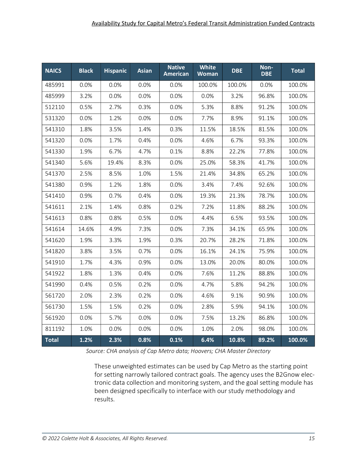| <b>NAICS</b> | <b>Black</b> | <b>Hispanic</b> | <b>Asian</b> | <b>Native</b><br><b>American</b> | <b>White</b><br><b>Woman</b> | <b>DBE</b> | Non-<br><b>DBE</b> | <b>Total</b> |
|--------------|--------------|-----------------|--------------|----------------------------------|------------------------------|------------|--------------------|--------------|
| 485991       | 0.0%         | 0.0%            | 0.0%         | 0.0%                             | 100.0%                       | 100.0%     | 0.0%               | 100.0%       |
| 485999       | 3.2%         | 0.0%            | 0.0%         | 0.0%                             | 0.0%                         | 3.2%       | 96.8%              | 100.0%       |
| 512110       | 0.5%         | 2.7%            | 0.3%         | 0.0%                             | 5.3%                         | 8.8%       | 91.2%              | 100.0%       |
| 531320       | 0.0%         | 1.2%            | 0.0%         | 0.0%                             | 7.7%                         | 8.9%       | 91.1%              | 100.0%       |
| 541310       | 1.8%         | 3.5%            | 1.4%         | 0.3%                             | 11.5%                        | 18.5%      | 81.5%              | 100.0%       |
| 541320       | 0.0%         | 1.7%            | 0.4%         | 0.0%                             | 4.6%                         | 6.7%       | 93.3%              | 100.0%       |
| 541330       | 1.9%         | 6.7%            | 4.7%         | 0.1%                             | 8.8%                         | 22.2%      | 77.8%              | 100.0%       |
| 541340       | 5.6%         | 19.4%           | 8.3%         | 0.0%                             | 25.0%                        | 58.3%      | 41.7%              | 100.0%       |
| 541370       | 2.5%         | 8.5%            | 1.0%         | 1.5%                             | 21.4%                        | 34.8%      | 65.2%              | 100.0%       |
| 541380       | 0.9%         | 1.2%            | 1.8%         | 0.0%                             | 3.4%                         | 7.4%       | 92.6%              | 100.0%       |
| 541410       | 0.9%         | 0.7%            | 0.4%         | 0.0%                             | 19.3%                        | 21.3%      | 78.7%              | 100.0%       |
| 541611       | 2.1%         | 1.4%            | 0.8%         | 0.2%                             | 7.2%                         | 11.8%      | 88.2%              | 100.0%       |
| 541613       | 0.8%         | 0.8%            | 0.5%         | 0.0%                             | 4.4%                         | 6.5%       | 93.5%              | 100.0%       |
| 541614       | 14.6%        | 4.9%            | 7.3%         | 0.0%                             | 7.3%                         | 34.1%      | 65.9%              | 100.0%       |
| 541620       | 1.9%         | 3.3%            | 1.9%         | 0.3%                             | 20.7%                        | 28.2%      | 71.8%              | 100.0%       |
| 541820       | 3.8%         | 3.5%            | 0.7%         | 0.0%                             | 16.1%                        | 24.1%      | 75.9%              | 100.0%       |
| 541910       | 1.7%         | 4.3%            | 0.9%         | 0.0%                             | 13.0%                        | 20.0%      | 80.0%              | 100.0%       |
| 541922       | 1.8%         | 1.3%            | 0.4%         | 0.0%                             | 7.6%                         | 11.2%      | 88.8%              | 100.0%       |
| 541990       | 0.4%         | 0.5%            | 0.2%         | 0.0%                             | 4.7%                         | 5.8%       | 94.2%              | 100.0%       |
| 561720       | 2.0%         | 2.3%            | 0.2%         | 0.0%                             | 4.6%                         | 9.1%       | 90.9%              | 100.0%       |
| 561730       | 1.5%         | 1.5%            | 0.2%         | 0.0%                             | 2.8%                         | 5.9%       | 94.1%              | 100.0%       |
| 561920       | 0.0%         | 5.7%            | 0.0%         | 0.0%                             | 7.5%                         | 13.2%      | 86.8%              | 100.0%       |
| 811192       | 1.0%         | 0.0%            | 0.0%         | 0.0%                             | 1.0%                         | 2.0%       | 98.0%              | 100.0%       |
| <b>Total</b> | 1.2%         | 2.3%            | 0.8%         | 0.1%                             | 6.4%                         | 10.8%      | 89.2%              | 100.0%       |

*Source: CHA analysis of Cap Metro data; Hoovers; CHA Master Directory*

These unweighted estimates can be used by Cap Metro as the starting point for setting narrowly tailored contract goals. The agency uses the B2Gnow electronic data collection and monitoring system, and the goal setting module has been designed specifically to interface with our study methodology and results.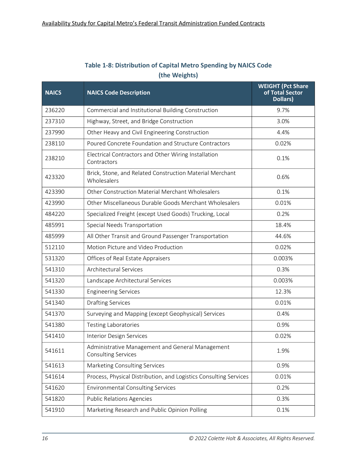| <b>NAICS</b> | <b>NAICS Code Description</b>                                                  | <b>WEIGHT (Pct Share</b><br>of Total Sector<br>Dollars) |
|--------------|--------------------------------------------------------------------------------|---------------------------------------------------------|
| 236220       | Commercial and Institutional Building Construction                             | 9.7%                                                    |
| 237310       | Highway, Street, and Bridge Construction                                       | 3.0%                                                    |
| 237990       | Other Heavy and Civil Engineering Construction                                 | 4.4%                                                    |
| 238110       | Poured Concrete Foundation and Structure Contractors                           | 0.02%                                                   |
| 238210       | Electrical Contractors and Other Wiring Installation<br>Contractors            | 0.1%                                                    |
| 423320       | Brick, Stone, and Related Construction Material Merchant<br>Wholesalers        | 0.6%                                                    |
| 423390       | Other Construction Material Merchant Wholesalers                               | 0.1%                                                    |
| 423990       | Other Miscellaneous Durable Goods Merchant Wholesalers                         | 0.01%                                                   |
| 484220       | Specialized Freight (except Used Goods) Trucking, Local                        | 0.2%                                                    |
| 485991       | Special Needs Transportation                                                   | 18.4%                                                   |
| 485999       | All Other Transit and Ground Passenger Transportation                          | 44.6%                                                   |
| 512110       | Motion Picture and Video Production                                            | 0.02%                                                   |
| 531320       | Offices of Real Estate Appraisers                                              | 0.003%                                                  |
| 541310       | Architectural Services                                                         | 0.3%                                                    |
| 541320       | Landscape Architectural Services                                               | 0.003%                                                  |
| 541330       | <b>Engineering Services</b>                                                    | 12.3%                                                   |
| 541340       | <b>Drafting Services</b>                                                       | 0.01%                                                   |
| 541370       | Surveying and Mapping (except Geophysical) Services                            | 0.4%                                                    |
| 541380       | <b>Testing Laboratories</b>                                                    | 0.9%                                                    |
| 541410       | Interior Design Services                                                       | 0.02%                                                   |
| 541611       | Administrative Management and General Management<br><b>Consulting Services</b> | 1.9%                                                    |
| 541613       | Marketing Consulting Services                                                  | 0.9%                                                    |
| 541614       | Process, Physical Distribution, and Logistics Consulting Services              | 0.01%                                                   |
| 541620       | <b>Environmental Consulting Services</b>                                       | 0.2%                                                    |
| 541820       | <b>Public Relations Agencies</b>                                               | 0.3%                                                    |
| 541910       | Marketing Research and Public Opinion Polling                                  | 0.1%                                                    |

### **Table 1-8: Distribution of Capital Metro Spending by NAICS Code (the Weights)**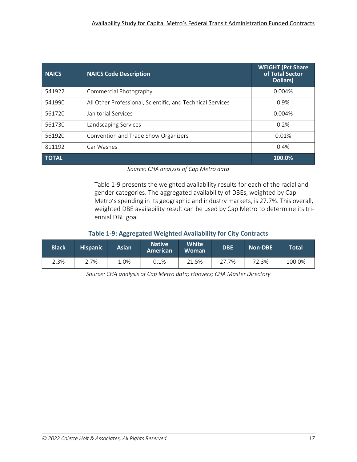| <b>NAICS</b> | <b>NAICS Code Description</b>                              | <b>WEIGHT (Pct Share</b><br>of Total Sector<br>Dollars) |
|--------------|------------------------------------------------------------|---------------------------------------------------------|
| 541922       | Commercial Photography                                     | 0.004%                                                  |
| 541990       | All Other Professional, Scientific, and Technical Services | 0.9%                                                    |
| 561720       | Janitorial Services                                        | 0.004%                                                  |
| 561730       | Landscaping Services                                       | 0.2%                                                    |
| 561920       | Convention and Trade Show Organizers                       | 0.01%                                                   |
| 811192       | Car Washes                                                 | 0.4%                                                    |
| <b>TOTAL</b> |                                                            | $100.0\%$                                               |

*Source: CHA analysis of Cap Metro data*

Table 1-9 presents the weighted availability results for each of the racial and gender categories. The aggregated availability of DBEs, weighted by Cap Metro's spending in its geographic and industry markets, is 27.7%. This overall, weighted DBE availability result can be used by Cap Metro to determine its triennial DBE goal.

#### **Table 1-9: Aggregated Weighted Availability for City Contracts**

| <b>Black</b> | Hispanic | <b>Asian</b> | <b>Native</b><br>American | <b>White</b><br><b>Woman</b> | <b>DBE</b> | <b>Non-DBE</b> | Total  |
|--------------|----------|--------------|---------------------------|------------------------------|------------|----------------|--------|
| 2.3%         | $2.7\%$  | 1.0%         | 0.1%                      | 21.5%                        | 27.7%      | 72.3%          | 100.0% |

*Source: CHA analysis of Cap Metro data; Hoovers; CHA Master Directory*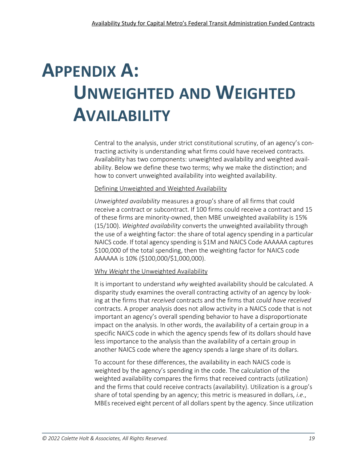# **APPENDIX A: UNWEIGHTED AND WEIGHTED AVAILABILITY**

Central to the analysis, under strict constitutional scrutiny, of an agency's contracting activity is understanding what firms could have received contracts. Availability has two components: unweighted availability and weighted availability. Below we define these two terms; why we make the distinction; and how to convert unweighted availability into weighted availability.

#### Defining Unweighted and Weighted Availability

*Unweighted availability* measures a group's share of all firms that could receive a contract or subcontract. If 100 firms could receive a contract and 15 of these firms are minority-owned, then MBE unweighted availability is 15% (15/100). *Weighted availability* converts the unweighted availability through the use of a weighting factor: the share of total agency spending in a particular NAICS code. If total agency spending is \$1M and NAICS Code AAAAAA captures \$100,000 of the total spending, then the weighting factor for NAICS code AAAAAA is 10% (\$100,000/\$1,000,000).

#### Why *Weight* the Unweighted Availability

It is important to understand *why* weighted availability should be calculated. A disparity study examines the overall contracting activity of an agency by looking at the firms that *received* contracts and the firms that *could have received* contracts. A proper analysis does not allow activity in a NAICS code that is not important an agency's overall spending behavior to have a disproportionate impact on the analysis. In other words, the availability of a certain group in a specific NAICS code in which the agency spends few of its dollars should have less importance to the analysis than the availability of a certain group in another NAICS code where the agency spends a large share of its dollars.

To account for these differences, the availability in each NAICS code is weighted by the agency's spending in the code. The calculation of the weighted availability compares the firms that received contracts (utilization) and the firms that could receive contracts (availability). Utilization is a group's share of total spending by an agency; this metric is measured in dollars, *i.e*., MBEs received eight percent of all dollars spent by the agency. Since utilization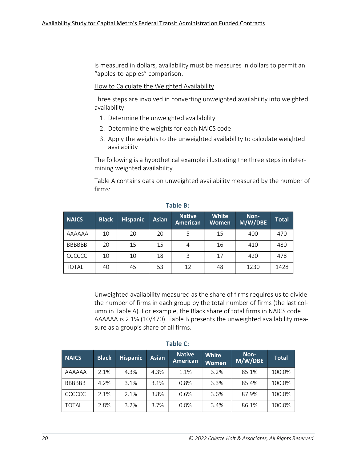is measured in dollars, availability must be measures in dollars to permit an "apples-to-apples" comparison.

#### How to Calculate the Weighted Availability

Three steps are involved in converting unweighted availability into weighted availability:

- 1. Determine the unweighted availability
- 2. Determine the weights for each NAICS code
- 3. Apply the weights to the unweighted availability to calculate weighted availability

The following is a hypothetical example illustrating the three steps in determining weighted availability.

Table A contains data on unweighted availability measured by the number of firms:

| <b>NAICS</b>  | <b>Black</b> | <b>Hispanic</b> | <b>Asian</b> | <b>Native</b><br>American | <b>White</b><br><b>Women</b> | Non-<br>M/W/DBE | <b>Total</b> |
|---------------|--------------|-----------------|--------------|---------------------------|------------------------------|-----------------|--------------|
| AAAAAA        | 10           | 20              | 20           | 5                         | 15                           | 400             | 470          |
| <b>BBBBBB</b> | 20           | 15              | 15           | 4                         | 16                           | 410             | 480          |
| CCCCCC        | 10           | 10              | 18           | 3                         | 17                           | 420             | 478          |
| <b>TOTAL</b>  | 40           | 45              | 53           | 12                        | 48                           | 1230            | 1428         |

**Table B:** 

Unweighted availability measured as the share of firms requires us to divide the number of firms in each group by the total number of firms (the last column in Table A). For example, the Black share of total firms in NAICS code AAAAAA is 2.1% (10/470). Table B presents the unweighted availability measure as a group's share of all firms.

| <b>NAICS</b>  | <b>Black</b> | <b>Hispanic</b> | <b>Asian</b> | <b>Native</b><br><b>American</b> | <b>White</b><br><b>Women</b> | Non-<br>M/W/DBE | <b>Total</b> |
|---------------|--------------|-----------------|--------------|----------------------------------|------------------------------|-----------------|--------------|
| AAAAAA        | 2.1%         | 4.3%            | 4.3%         | 1.1%                             | 3.2%                         | 85.1%           | 100.0%       |
| <b>BBBBBB</b> | 4.2%         | 3.1%            | 3.1%         | 0.8%                             | 3.3%                         | 85.4%           | 100.0%       |
| CCCCCC        | 2.1%         | 2.1%            | 3.8%         | 0.6%                             | 3.6%                         | 87.9%           | 100.0%       |
| <b>TOTAL</b>  | 2.8%         | 3.2%            | 3.7%         | 0.8%                             | 3.4%                         | 86.1%           | 100.0%       |

**Table C:**